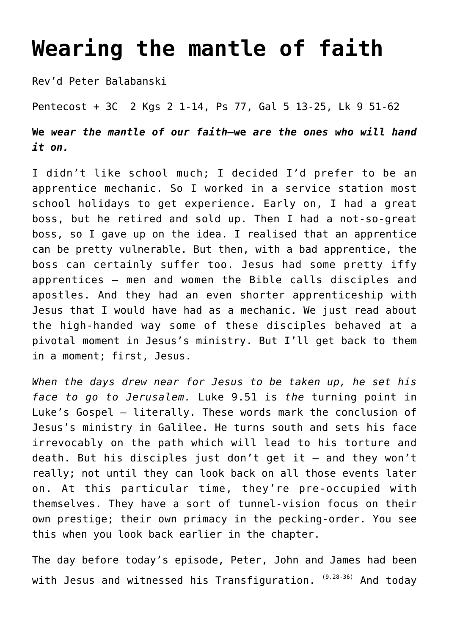## **[Wearing the mantle of faith](http://stjohnsadelaide.org.au/wearing-the-mantle-of-our-faith/)**

Rev'd Peter Balabanski

Pentecost + 3C 2 Kgs 2 1-14, Ps 77, Gal 5 13-25, Lk 9 51-62

**We** *wear the mantle of our faith—***we** *are the ones who will hand it on.*

I didn't like school much; I decided I'd prefer to be an apprentice mechanic. So I worked in a service station most school holidays to get experience. Early on, I had a great boss, but he retired and sold up. Then I had a not-so-great boss, so I gave up on the idea. I realised that an apprentice can be pretty vulnerable. But then, with a bad apprentice, the boss can certainly suffer too. Jesus had some pretty iffy apprentices – men and women the Bible calls disciples and apostles. And they had an even shorter apprenticeship with Jesus that I would have had as a mechanic. We just read about the high-handed way some of these disciples behaved at a pivotal moment in Jesus's ministry. But I'll get back to them in a moment; first, Jesus.

*When the days drew near for Jesus to be taken up, he set his face to go to Jerusalem.* Luke 9.51 is *the* turning point in Luke's Gospel – literally. These words mark the conclusion of Jesus's ministry in Galilee. He turns south and sets his face irrevocably on the path which will lead to his torture and death. But his disciples just don't get it – and they won't really; not until they can look back on all those events later on. At this particular time, they're pre-occupied with themselves. They have a sort of tunnel-vision focus on their own prestige; their own primacy in the pecking-order. You see this when you look back earlier in the chapter.

The day before today's episode, Peter, John and James had been with Jesus and witnessed his Transfiguration. (9.28-36) And today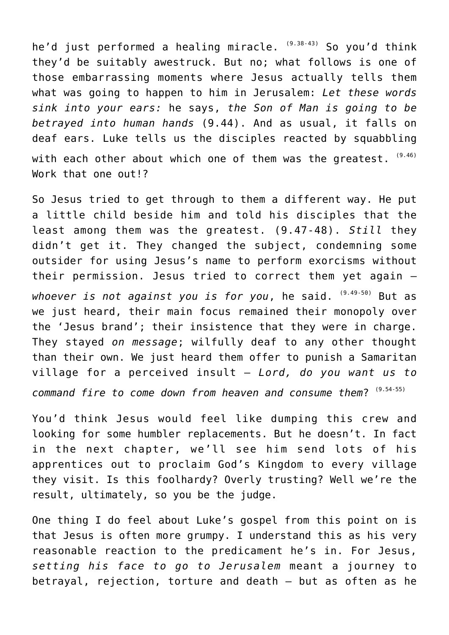he'd just performed a healing miracle. (9.38-43) So you'd think they'd be suitably awestruck. But no; what follows is one of those embarrassing moments where Jesus actually tells them what was going to happen to him in Jerusalem: *Let these words sink into your ears:* he says, *the Son of Man is going to be betrayed into human hands* (9.44). And as usual, it falls on deaf ears. Luke tells us the disciples reacted by squabbling with each other about which one of them was the greatest.  $(9.46)$ Work that one out!?

So Jesus tried to get through to them a different way. He put a little child beside him and told his disciples that the least among them was the greatest. (9.47-48). *Still* they didn't get it. They changed the subject, condemning some outsider for using Jesus's name to perform exorcisms without their permission. Jesus tried to correct them yet again – whoever is not against you is for you, he said. (9.49-50) But as we just heard, their main focus remained their monopoly over the 'Jesus brand'; their insistence that they were in charge. They stayed *on message*; wilfully deaf to any other thought than their own. We just heard them offer to punish a Samaritan village for a perceived insult – *Lord, do you want us to command fire to come down from heaven and consume them*? (9.54-55)

You'd think Jesus would feel like dumping this crew and looking for some humbler replacements. But he doesn't. In fact in the next chapter, we'll see him send lots of his apprentices out to proclaim God's Kingdom to every village they visit. Is this foolhardy? Overly trusting? Well we're the result, ultimately, so you be the judge.

One thing I do feel about Luke's gospel from this point on is that Jesus is often more grumpy. I understand this as his very reasonable reaction to the predicament he's in. For Jesus, *setting his face to go to Jerusalem* meant a journey to betrayal, rejection, torture and death – but as often as he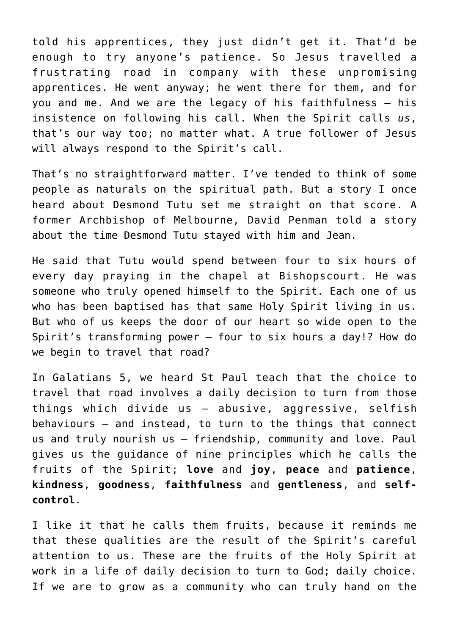told his apprentices, they just didn't get it. That'd be enough to try anyone's patience. So Jesus travelled a frustrating road in company with these unpromising apprentices. He went anyway; he went there for them, and for you and me. And we are the legacy of his faithfulness – his insistence on following his call. When the Spirit calls *us*, that's our way too; no matter what. A true follower of Jesus will always respond to the Spirit's call.

That's no straightforward matter. I've tended to think of some people as naturals on the spiritual path. But a story I once heard about Desmond Tutu set me straight on that score. A former Archbishop of Melbourne, David Penman told a story about the time Desmond Tutu stayed with him and Jean.

He said that Tutu would spend between four to six hours of every day praying in the chapel at Bishopscourt. He was someone who truly opened himself to the Spirit. Each one of us who has been baptised has that same Holy Spirit living in us. But who of us keeps the door of our heart so wide open to the Spirit's transforming power – four to six hours a day!? How do we begin to travel that road?

In Galatians 5, we heard St Paul teach that the choice to travel that road involves a daily decision to turn from those things which divide us – abusive, aggressive, selfish behaviours – and instead, to turn to the things that connect us and truly nourish us – friendship, community and love. Paul gives us the guidance of nine principles which he calls the fruits of the Spirit; **love** and **joy**, **peace** and **patience**, **kindness**, **goodness**, **faithfulness** and **gentleness**, and **selfcontrol**.

I like it that he calls them fruits, because it reminds me that these qualities are the result of the Spirit's careful attention to us. These are the fruits of the Holy Spirit at work in a life of daily decision to turn to God; daily choice. If we are to grow as a community who can truly hand on the